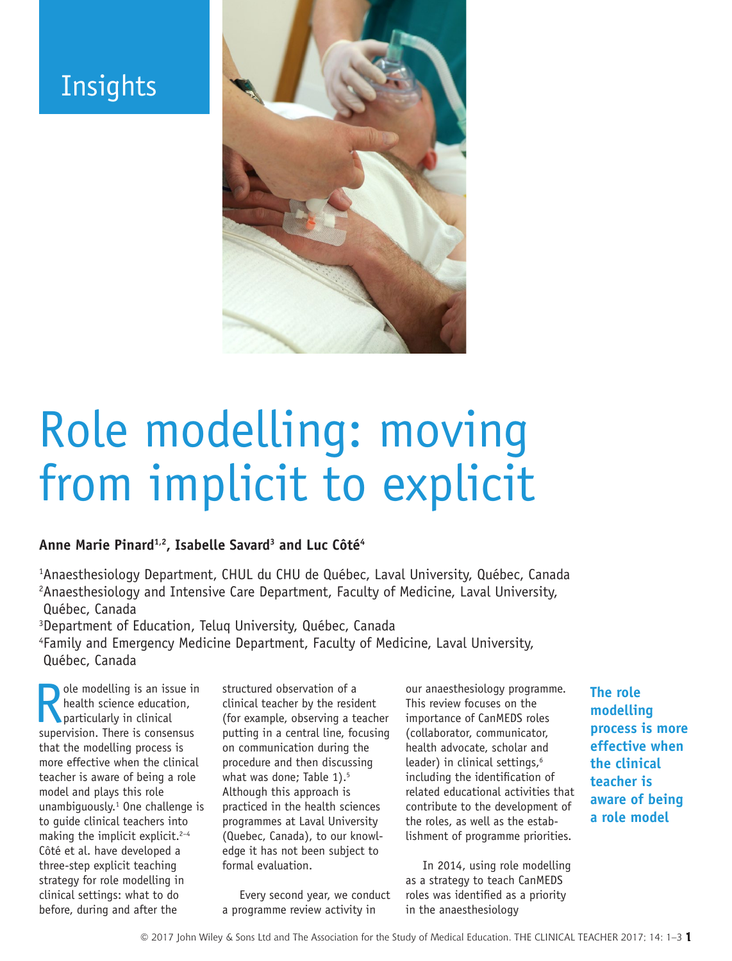# **Insights**



# Role modelling: moving from implicit to explicit

#### **Anne Marie Pinard1,2, Isabelle Savard3 and Luc Côté4**

1 Anaesthesiology Department, CHUL du CHU de Québec, Laval University, Québec, Canada <sup>2</sup> Anaesthesiology and Intensive Care Department, Faculty of Medicine, Laval University, Québec, Canada

3 Department of Education, Teluq University, Québec, Canada

4 Family and Emergency Medicine Department, Faculty of Medicine, Laval University, Québec, Canada

**R** ole modelling is an issue in health science education, particularly in clinical supervision. There is consensus ole modelling is an issue in health science education, particularly in clinical that the modelling process is more effective when the clinical teacher is aware of being a role model and plays this role unambiguously.1 One challenge is to guide clinical teachers into making the implicit explicit.<sup>2-4</sup> Côté et al. have developed a three-step explicit teaching strategy for role modelling in clinical settings: what to do before, during and after the

structured observation of a clinical teacher by the resident (for example, observing a teacher putting in a central line, focusing on communication during the procedure and then discussing what was done; Table 1).<sup>5</sup> Although this approach is practiced in the health sciences programmes at Laval University (Quebec, Canada), to our knowledge it has not been subject to formal evaluation.

Every second year, we conduct a programme review activity in

our anaesthesiology programme. This review focuses on the importance of CanMEDS roles (collaborator, communicator, health advocate, scholar and leader) in clinical settings,<sup>6</sup> including the identification of related educational activities that contribute to the development of the roles, as well as the establishment of programme priorities.

In 2014, using role modelling as a strategy to teach CanMEDS roles was identified as a priority in the anaesthesiology

**The role modelling process is more effective when the clinical teacher is aware of being a role model**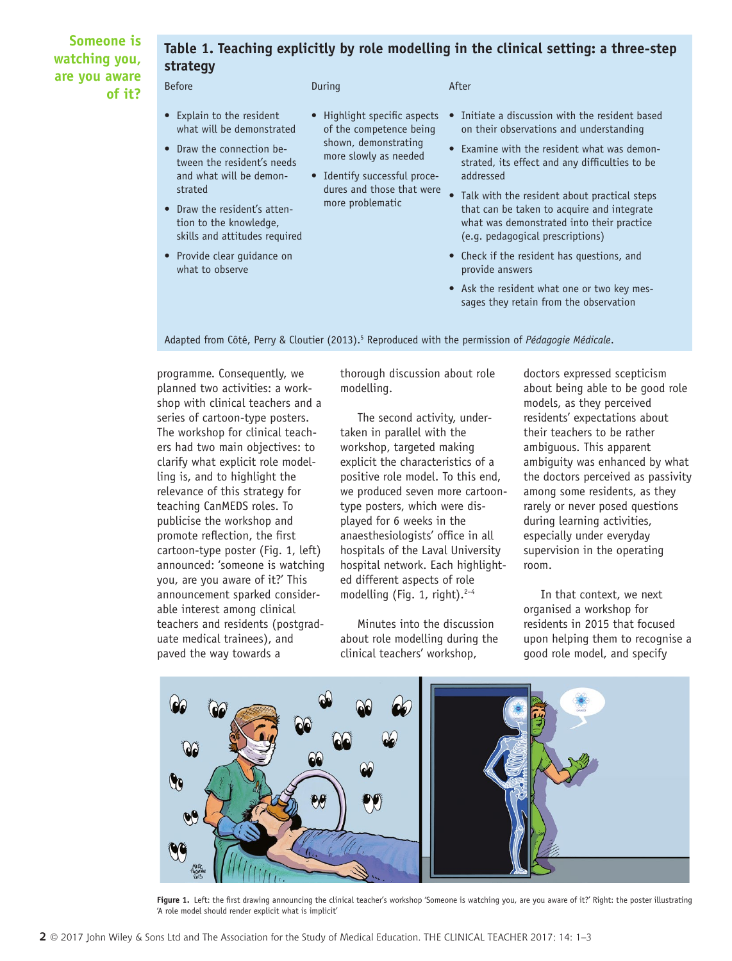#### **Someone is watching you, are you aware of it?**

## **Table 1. Teaching explicitly by role modelling in the clinical setting: a three-step strategy**

Before and the During During After

- Explain to the resident what will be demonstrated
- Draw the connection between the resident's needs and what will be demonstrated
- Draw the resident's attention to the knowledge, skills and attitudes required
- Provide clear guidance on what to observe
- Highlight specific aspects of the competence being shown, demonstrating more slowly as needed
- Identify successful procedures and those that were more problematic
- on their observations and understanding • Examine with the resident what was demon-

• Initiate a discussion with the resident based

- strated, its effect and any difficulties to be addressed • Talk with the resident about practical steps
- that can be taken to acquire and integrate what was demonstrated into their practice (e.g. pedagogical prescriptions)
- Check if the resident has questions, and provide answers
- Ask the resident what one or two key messages they retain from the observation

Adapted from Côté, Perry & Cloutier (2013).<sup>5</sup> Reproduced with the permission of *Pédagogie Médicale*.

programme. Consequently, we planned two activities: a workshop with clinical teachers and a series of cartoon-type posters. The workshop for clinical teachers had two main objectives: to clarify what explicit role modelling is, and to highlight the relevance of this strategy for teaching CanMEDS roles. To publicise the workshop and promote reflection, the first cartoon-type poster (Fig. 1, left) announced: 'someone is watching you, are you aware of it?' This announcement sparked considerable interest among clinical teachers and residents (postgraduate medical trainees), and paved the way towards a

thorough discussion about role modelling.

The second activity, undertaken in parallel with the workshop, targeted making explicit the characteristics of a positive role model. To this end, we produced seven more cartoontype posters, which were displayed for 6 weeks in the anaesthesiologists' office in all hospitals of the Laval University hospital network. Each highlighted different aspects of role modelling (Fig. 1, right). $2-4$ 

Minutes into the discussion about role modelling during the clinical teachers' workshop,

doctors expressed scepticism about being able to be good role models, as they perceived residents' expectations about their teachers to be rather ambiguous. This apparent ambiguity was enhanced by what the doctors perceived as passivity among some residents, as they rarely or never posed questions during learning activities, especially under everyday supervision in the operating room.

In that context, we next organised a workshop for residents in 2015 that focused upon helping them to recognise a good role model, and specify



**Figure 1.** Left: the first drawing announcing the clinical teacher's workshop 'Someone is watching you, are you aware of it?' Right: the poster illustrating 'A role model should render explicit what is implicit'